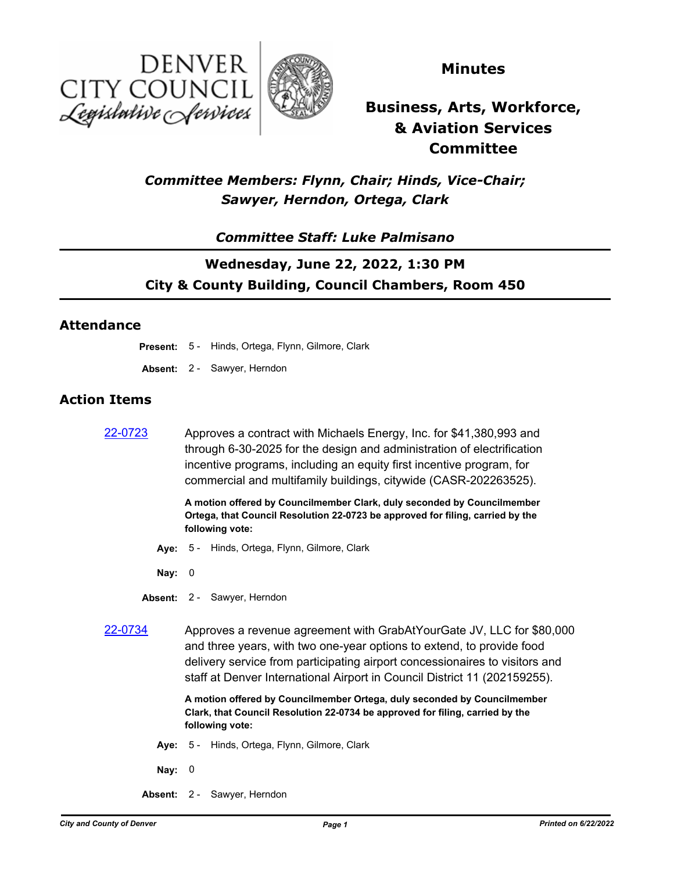



## **Minutes**

# **Business, Arts, Workforce, & Aviation Services Committee**

# *Committee Members: Flynn, Chair; Hinds, Vice-Chair; Sawyer, Herndon, Ortega, Clark*

### *Committee Staff: Luke Palmisano*

# **Wednesday, June 22, 2022, 1:30 PM City & County Building, Council Chambers, Room 450**

#### **Attendance**

- **Present:** 5 Hinds, Ortega, Flynn, Gilmore, Clark
- **Absent:** 2 Sawyer, Herndon

#### **Action Items**

[22-0723](http://denver.legistar.com/gateway.aspx?m=l&id=/matter.aspx?key=21790) Approves a contract with Michaels Energy, Inc. for \$41,380,993 and through 6-30-2025 for the design and administration of electrification incentive programs, including an equity first incentive program, for commercial and multifamily buildings, citywide (CASR-202263525).

> **A motion offered by Councilmember Clark, duly seconded by Councilmember Ortega, that Council Resolution 22-0723 be approved for filing, carried by the following vote:**

- **Aye:** 5 Hinds, Ortega, Flynn, Gilmore, Clark
- **Nay:** 0
- **Absent:** 2 Sawyer, Herndon
- [22-0734](http://denver.legistar.com/gateway.aspx?m=l&id=/matter.aspx?key=21801) Approves a revenue agreement with GrabAtYourGate JV, LLC for \$80,000 and three years, with two one-year options to extend, to provide food delivery service from participating airport concessionaires to visitors and staff at Denver International Airport in Council District 11 (202159255).

**A motion offered by Councilmember Ortega, duly seconded by Councilmember Clark, that Council Resolution 22-0734 be approved for filing, carried by the following vote:**

- **Aye:** 5 Hinds, Ortega, Flynn, Gilmore, Clark
- **Nay:** 0
- **Absent:** 2 Sawyer, Herndon